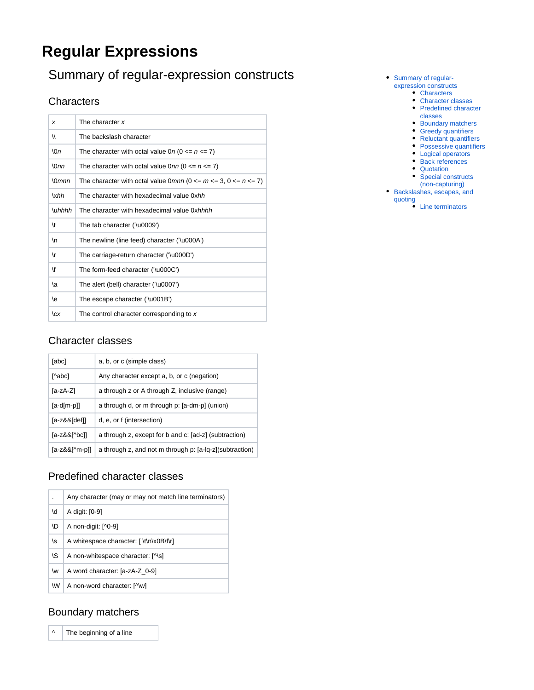# **Regular Expressions**

## <span id="page-0-0"></span>Summary of regular-expression constructs

### <span id="page-0-1"></span>**Characters**

| x                   | The character x                                                           |
|---------------------|---------------------------------------------------------------------------|
| 11                  | The backslash character                                                   |
| $\ln$               | The character with octal value 0n (0 $\leq n \leq 7$ )                    |
| $\Omega$ nn         | The character with octal value $0 \text{nn}$ ( $0 \le n \le 7$ )          |
| $\Omega$ <i>mnn</i> | The character with octal value 0mnn ( $0 \le m \le 3$ , $0 \le n \le 7$ ) |
| xhh                 | The character with hexadecimal value 0xhh                                 |
| \u <i>hhhh</i>      | The character with hexadecimal value 0xhhhh                               |
| \t                  | The tab character ('\u0009')                                              |
| \n                  | The newline (line feed) character ('\u000A')                              |
| ۱r                  | The carriage-return character ('\u000D')                                  |
| \f                  | The form-feed character ('\u000C')                                        |
| ۱a                  | The alert (bell) character ('\u0007')                                     |
| \e                  | The escape character ('\u001B')                                           |
| cx                  | The control character corresponding to x                                  |

#### <span id="page-0-2"></span>Character classes

| [abc]         | a, b, or c (simple class)                               |
|---------------|---------------------------------------------------------|
| [^abc]        | Any character except a, b, or c (negation)              |
| [a-zA-Z]      | a through z or A through Z, inclusive (range)           |
| $[a-d[m-p]]$  | a through d, or m through p: [a-dm-p] (union)           |
| [a-z&&[def]]  | d, e, or f (intersection)                               |
| [a-z&&[^bc]]  | a through z, except for b and c: [ad-z] (subtraction)   |
| [a-z&&[^m-p]] | a through z, and not m through p: [a-lq-z](subtraction) |

## <span id="page-0-3"></span>Predefined character classes

|    | Any character (may or may not match line terminators) |
|----|-------------------------------------------------------|
| ۱d | A digit: [0-9]                                        |
| ١D | A non-digit: [^0-9]                                   |
| \s | A whitespace character: [ \t\n\x0B\f\r]               |
| ۱S | A non-whitespace character: [^\s]                     |
| \w | A word character: [a-zA-Z 0-9]                        |
| W  | A non-word character: [^\w]                           |

### <span id="page-0-4"></span>Boundary matchers

 $\wedge$  The beginning of a line

- [Summary of regular](#page-0-0)[expression constructs](#page-0-0)
	- **[Characters](#page-0-1)** 
		- [Character classes](#page-0-2) • Predefined character
		- [classes](#page-0-3)
		- [Boundary matchers](#page-0-4)
		- **[Greedy quantifiers](#page-1-0)**
	- [Reluctant quantifiers](#page-1-1)
	- [Possessive quantifiers](#page-1-2)
	- [Logical operators](#page-1-3)
	- [Back references](#page-1-4)
	- [Quotation](#page-1-5)
	- Special constructs
- [\(non-capturing\)](#page-2-0) [Backslashes, escapes, and](#page-2-1)

[quoting](#page-2-1)

[Line terminators](#page-2-2)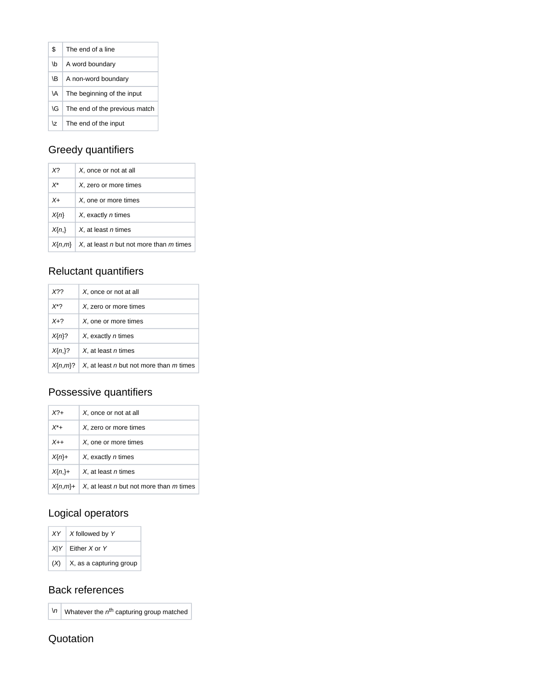| \$        | The end of a line             |
|-----------|-------------------------------|
| ۱b        | A word boundary               |
| ۱B.       | A non-word boundary           |
| <b>VA</b> | The beginning of the input    |
| ١G        | The end of the previous match |
| \7        | The end of the input          |

## <span id="page-1-0"></span>Greedy quantifiers

| X?         | X, once or not at all                   |
|------------|-----------------------------------------|
| $X^*$      | X, zero or more times                   |
| $X+$       | X, one or more times                    |
| $X\{n\}$   | X, exactly <i>n</i> times               |
| $X\{n\}$   | X. at least n times                     |
| $X\{n,m\}$ | X, at least n but not more than m times |

## <span id="page-1-1"></span>Reluctant quantifiers

| X22          | X, once or not at all                   |
|--------------|-----------------------------------------|
| $X^*$ ?      | X, zero or more times                   |
| $X+2$        | X, one or more times                    |
| $X\{n\}$ ?   | X, exactly <i>n</i> times               |
| $X\{n\}$ ?   | X. at least <i>n</i> times              |
| $X\{n,m\}$ ? | X, at least n but not more than m times |

## <span id="page-1-2"></span>Possessive quantifiers

|  | $X^2+$       | X, once or not at all                   |
|--|--------------|-----------------------------------------|
|  | $X^*$ +      | X, zero or more times                   |
|  | $X_{++}$     | X, one or more times                    |
|  | $X\{n\}+$    | X, exactly <i>n</i> times               |
|  | $X\{n\}+$    | X. at least n times                     |
|  | $X\{n,m\}$ + | X, at least n but not more than m times |

### <span id="page-1-3"></span>Logical operators

| $XY$ X followed by Y          |
|-------------------------------|
| $X Y $ Either X or Y          |
| $(X)$ X, as a capturing group |

#### <span id="page-1-4"></span>Back references

 $\ln |\mathsf{W}|\$  Whatever the  $n^{\text{th}}$  capturing group matched

#### <span id="page-1-5"></span>**Quotation**